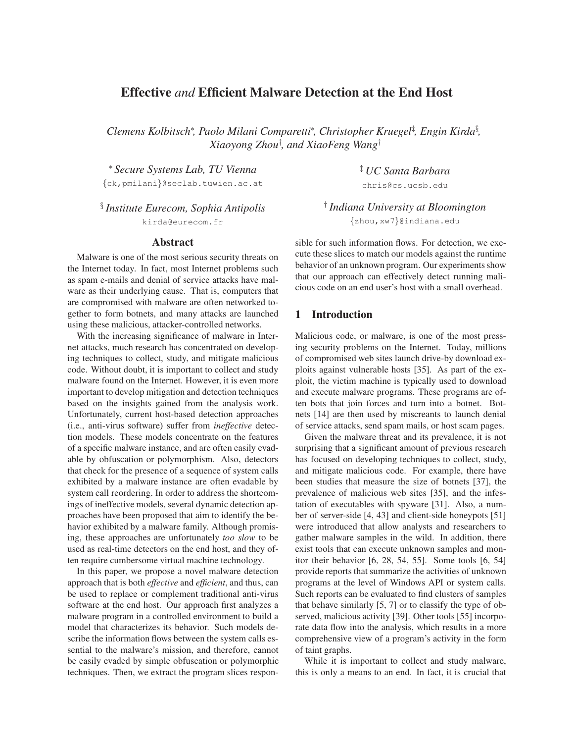# **Effective** *and* **Efficient Malware Detection at the End Host**

*Clemens Kolbitsch*<sup>∗</sup> *, Paolo Milani Comparetti*<sup>∗</sup> *, Christopher Kruegel*‡ *, Engin Kirda*§ *, Xiaoyong Zhou*† *, and XiaoFeng Wang*†

<sup>∗</sup> *Secure Systems Lab, TU Vienna*

{ck,pmilani}@seclab.tuwien.ac.at

§ *Institute Eurecom, Sophia Antipolis* kirda@eurecom.fr

#### **Abstract**

Malware is one of the most serious security threats on the Internet today. In fact, most Internet problems such as spam e-mails and denial of service attacks have malware as their underlying cause. That is, computers that are compromised with malware are often networked together to form botnets, and many attacks are launched using these malicious, attacker-controlled networks.

With the increasing significance of malware in Internet attacks, much research has concentrated on developing techniques to collect, study, and mitigate malicious code. Without doubt, it is important to collect and study malware found on the Internet. However, it is even more important to develop mitigation and detection techniques based on the insights gained from the analysis work. Unfortunately, current host-based detection approaches (i.e., anti-virus software) suffer from *ineffective* detection models. These models concentrate on the features of a specific malware instance, and are often easily evadable by obfuscation or polymorphism. Also, detectors that check for the presence of a sequence of system calls exhibited by a malware instance are often evadable by system call reordering. In order to address the shortcomings of ineffective models, several dynamic detection approaches have been proposed that aim to identify the behavior exhibited by a malware family. Although promising, these approaches are unfortunately *too slow* to be used as real-time detectors on the end host, and they often require cumbersome virtual machine technology.

In this paper, we propose a novel malware detection approach that is both *effective* and *efficient*, and thus, can be used to replace or complement traditional anti-virus software at the end host. Our approach first analyzes a malware program in a controlled environment to build a model that characterizes its behavior. Such models describe the information flows between the system calls essential to the malware's mission, and therefore, cannot be easily evaded by simple obfuscation or polymorphic techniques. Then, we extract the program slices respon‡ *UC Santa Barbara* chris@cs.ucsb.edu

† *Indiana University at Bloomington* {zhou,xw7}@indiana.edu

sible for such information flows. For detection, we execute these slices to match our models against the runtime behavior of an unknown program. Our experiments show that our approach can effectively detect running malicious code on an end user's host with a small overhead.

## **1 Introduction**

Malicious code, or malware, is one of the most pressing security problems on the Internet. Today, millions of compromised web sites launch drive-by download exploits against vulnerable hosts [35]. As part of the exploit, the victim machine is typically used to download and execute malware programs. These programs are often bots that join forces and turn into a botnet. Botnets [14] are then used by miscreants to launch denial of service attacks, send spam mails, or host scam pages.

Given the malware threat and its prevalence, it is not surprising that a significant amount of previous research has focused on developing techniques to collect, study, and mitigate malicious code. For example, there have been studies that measure the size of botnets [37], the prevalence of malicious web sites [35], and the infestation of executables with spyware [31]. Also, a number of server-side [4, 43] and client-side honeypots [51] were introduced that allow analysts and researchers to gather malware samples in the wild. In addition, there exist tools that can execute unknown samples and monitor their behavior [6, 28, 54, 55]. Some tools [6, 54] provide reports that summarize the activities of unknown programs at the level of Windows API or system calls. Such reports can be evaluated to find clusters of samples that behave similarly [5, 7] or to classify the type of observed, malicious activity [39]. Other tools [55] incorporate data flow into the analysis, which results in a more comprehensive view of a program's activity in the form of taint graphs.

While it is important to collect and study malware, this is only a means to an end. In fact, it is crucial that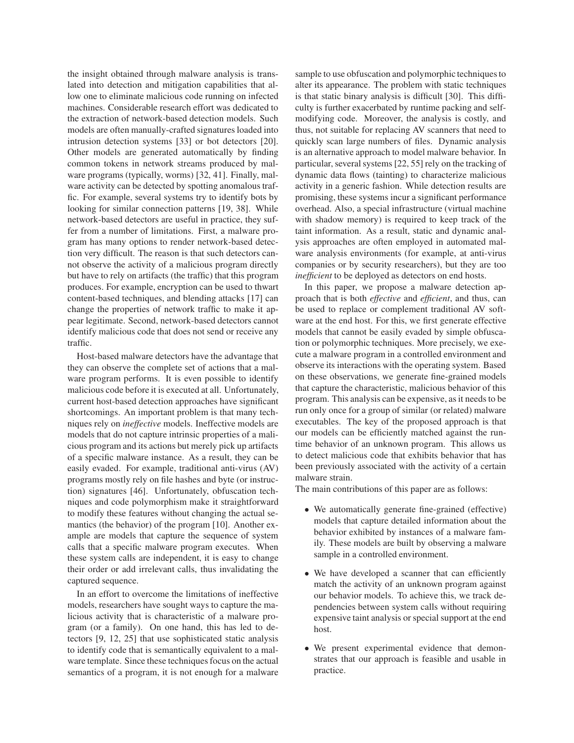the insight obtained through malware analysis is translated into detection and mitigation capabilities that allow one to eliminate malicious code running on infected machines. Considerable research effort was dedicated to the extraction of network-based detection models. Such models are often manually-crafted signatures loaded into intrusion detection systems [33] or bot detectors [20]. Other models are generated automatically by finding common tokens in network streams produced by malware programs (typically, worms) [32, 41]. Finally, malware activity can be detected by spotting anomalous traffic. For example, several systems try to identify bots by looking for similar connection patterns [19, 38]. While network-based detectors are useful in practice, they suffer from a number of limitations. First, a malware program has many options to render network-based detection very difficult. The reason is that such detectors cannot observe the activity of a malicious program directly but have to rely on artifacts (the traffic) that this program produces. For example, encryption can be used to thwart content-based techniques, and blending attacks [17] can change the properties of network traffic to make it appear legitimate. Second, network-based detectors cannot identify malicious code that does not send or receive any traffic.

Host-based malware detectors have the advantage that they can observe the complete set of actions that a malware program performs. It is even possible to identify malicious code before it is executed at all. Unfortunately, current host-based detection approaches have significant shortcomings. An important problem is that many techniques rely on *ineffective* models. Ineffective models are models that do not capture intrinsic properties of a malicious program and its actions but merely pick up artifacts of a specific malware instance. As a result, they can be easily evaded. For example, traditional anti-virus (AV) programs mostly rely on file hashes and byte (or instruction) signatures [46]. Unfortunately, obfuscation techniques and code polymorphism make it straightforward to modify these features without changing the actual semantics (the behavior) of the program [10]. Another example are models that capture the sequence of system calls that a specific malware program executes. When these system calls are independent, it is easy to change their order or add irrelevant calls, thus invalidating the captured sequence.

In an effort to overcome the limitations of ineffective models, researchers have sought ways to capture the malicious activity that is characteristic of a malware program (or a family). On one hand, this has led to detectors [9, 12, 25] that use sophisticated static analysis to identify code that is semantically equivalent to a malware template. Since these techniques focus on the actual semantics of a program, it is not enough for a malware sample to use obfuscation and polymorphic techniques to alter its appearance. The problem with static techniques is that static binary analysis is difficult [30]. This difficulty is further exacerbated by runtime packing and selfmodifying code. Moreover, the analysis is costly, and thus, not suitable for replacing AV scanners that need to quickly scan large numbers of files. Dynamic analysis is an alternative approach to model malware behavior. In particular, several systems [22, 55] rely on the tracking of dynamic data flows (tainting) to characterize malicious activity in a generic fashion. While detection results are promising, these systems incur a significant performance overhead. Also, a special infrastructure (virtual machine with shadow memory) is required to keep track of the taint information. As a result, static and dynamic analysis approaches are often employed in automated malware analysis environments (for example, at anti-virus companies or by security researchers), but they are too *inefficient* to be deployed as detectors on end hosts.

In this paper, we propose a malware detection approach that is both *effective* and *efficient*, and thus, can be used to replace or complement traditional AV software at the end host. For this, we first generate effective models that cannot be easily evaded by simple obfuscation or polymorphic techniques. More precisely, we execute a malware program in a controlled environment and observe its interactions with the operating system. Based on these observations, we generate fine-grained models that capture the characteristic, malicious behavior of this program. This analysis can be expensive, as it needs to be run only once for a group of similar (or related) malware executables. The key of the proposed approach is that our models can be efficiently matched against the runtime behavior of an unknown program. This allows us to detect malicious code that exhibits behavior that has been previously associated with the activity of a certain malware strain.

The main contributions of this paper are as follows:

- We automatically generate fine-grained (effective) models that capture detailed information about the behavior exhibited by instances of a malware family. These models are built by observing a malware sample in a controlled environment.
- We have developed a scanner that can efficiently match the activity of an unknown program against our behavior models. To achieve this, we track dependencies between system calls without requiring expensive taint analysis or special support at the end host.
- We present experimental evidence that demonstrates that our approach is feasible and usable in practice.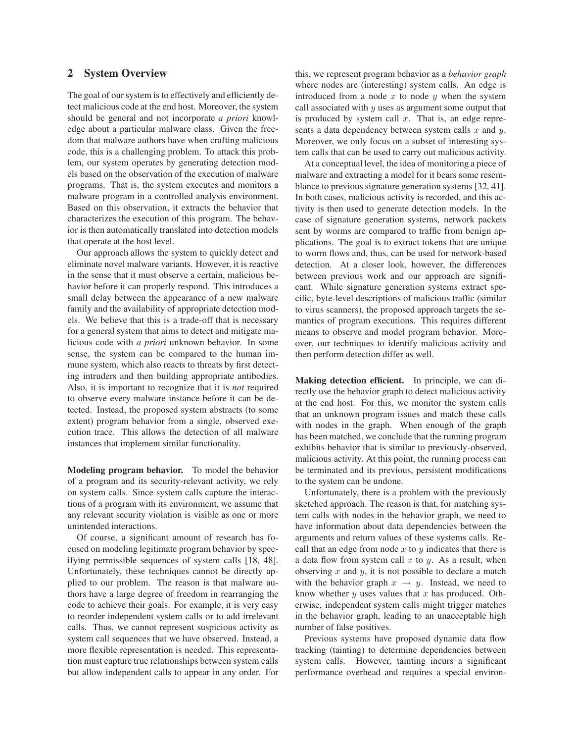### **2 System Overview**

The goal of our system is to effectively and efficiently detect malicious code at the end host. Moreover, the system should be general and not incorporate *a priori* knowledge about a particular malware class. Given the freedom that malware authors have when crafting malicious code, this is a challenging problem. To attack this problem, our system operates by generating detection models based on the observation of the execution of malware programs. That is, the system executes and monitors a malware program in a controlled analysis environment. Based on this observation, it extracts the behavior that characterizes the execution of this program. The behavior is then automatically translated into detection models that operate at the host level.

Our approach allows the system to quickly detect and eliminate novel malware variants. However, it is reactive in the sense that it must observe a certain, malicious behavior before it can properly respond. This introduces a small delay between the appearance of a new malware family and the availability of appropriate detection models. We believe that this is a trade-off that is necessary for a general system that aims to detect and mitigate malicious code with *a priori* unknown behavior. In some sense, the system can be compared to the human immune system, which also reacts to threats by first detecting intruders and then building appropriate antibodies. Also, it is important to recognize that it is *not* required to observe every malware instance before it can be detected. Instead, the proposed system abstracts (to some extent) program behavior from a single, observed execution trace. This allows the detection of all malware instances that implement similar functionality.

**Modeling program behavior.** To model the behavior of a program and its security-relevant activity, we rely on system calls. Since system calls capture the interactions of a program with its environment, we assume that any relevant security violation is visible as one or more unintended interactions.

Of course, a significant amount of research has focused on modeling legitimate program behavior by specifying permissible sequences of system calls [18, 48]. Unfortunately, these techniques cannot be directly applied to our problem. The reason is that malware authors have a large degree of freedom in rearranging the code to achieve their goals. For example, it is very easy to reorder independent system calls or to add irrelevant calls. Thus, we cannot represent suspicious activity as system call sequences that we have observed. Instead, a more flexible representation is needed. This representation must capture true relationships between system calls but allow independent calls to appear in any order. For this, we represent program behavior as a *behavior graph* where nodes are (interesting) system calls. An edge is introduced from a node  $x$  to node  $y$  when the system call associated with  $y$  uses as argument some output that is produced by system call  $x$ . That is, an edge represents a data dependency between system calls  $x$  and  $y$ . Moreover, we only focus on a subset of interesting system calls that can be used to carry out malicious activity.

At a conceptual level, the idea of monitoring a piece of malware and extracting a model for it bears some resemblance to previous signature generation systems [32, 41]. In both cases, malicious activity is recorded, and this activity is then used to generate detection models. In the case of signature generation systems, network packets sent by worms are compared to traffic from benign applications. The goal is to extract tokens that are unique to worm flows and, thus, can be used for network-based detection. At a closer look, however, the differences between previous work and our approach are significant. While signature generation systems extract specific, byte-level descriptions of malicious traffic (similar to virus scanners), the proposed approach targets the semantics of program executions. This requires different means to observe and model program behavior. Moreover, our techniques to identify malicious activity and then perform detection differ as well.

**Making detection efficient.** In principle, we can directly use the behavior graph to detect malicious activity at the end host. For this, we monitor the system calls that an unknown program issues and match these calls with nodes in the graph. When enough of the graph has been matched, we conclude that the running program exhibits behavior that is similar to previously-observed, malicious activity. At this point, the running process can be terminated and its previous, persistent modifications to the system can be undone.

Unfortunately, there is a problem with the previously sketched approach. The reason is that, for matching system calls with nodes in the behavior graph, we need to have information about data dependencies between the arguments and return values of these systems calls. Recall that an edge from node  $x$  to  $y$  indicates that there is a data flow from system call  $x$  to  $y$ . As a result, when observing  $x$  and  $y$ , it is not possible to declare a match with the behavior graph  $x \rightarrow y$ . Instead, we need to know whether  $y$  uses values that  $x$  has produced. Otherwise, independent system calls might trigger matches in the behavior graph, leading to an unacceptable high number of false positives.

Previous systems have proposed dynamic data flow tracking (tainting) to determine dependencies between system calls. However, tainting incurs a significant performance overhead and requires a special environ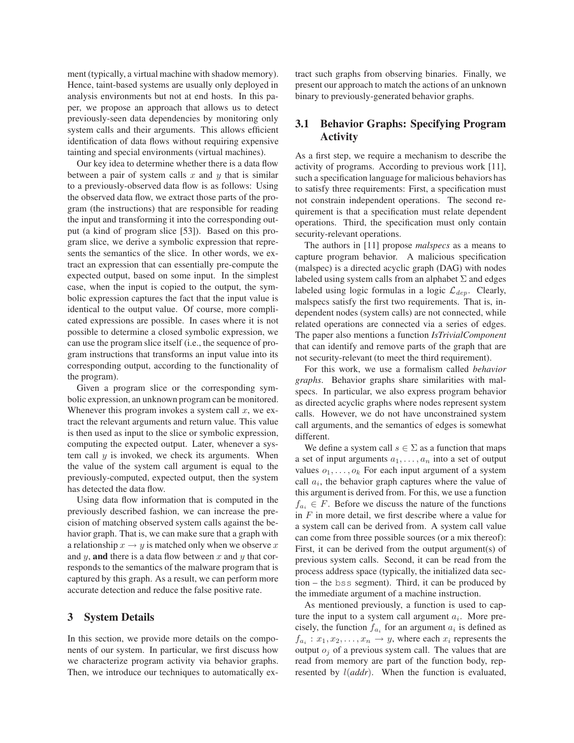ment (typically, a virtual machine with shadow memory). Hence, taint-based systems are usually only deployed in analysis environments but not at end hosts. In this paper, we propose an approach that allows us to detect previously-seen data dependencies by monitoring only system calls and their arguments. This allows efficient identification of data flows without requiring expensive tainting and special environments (virtual machines).

Our key idea to determine whether there is a data flow between a pair of system calls  $x$  and  $y$  that is similar to a previously-observed data flow is as follows: Using the observed data flow, we extract those parts of the program (the instructions) that are responsible for reading the input and transforming it into the corresponding output (a kind of program slice [53]). Based on this program slice, we derive a symbolic expression that represents the semantics of the slice. In other words, we extract an expression that can essentially pre-compute the expected output, based on some input. In the simplest case, when the input is copied to the output, the symbolic expression captures the fact that the input value is identical to the output value. Of course, more complicated expressions are possible. In cases where it is not possible to determine a closed symbolic expression, we can use the program slice itself (i.e., the sequence of program instructions that transforms an input value into its corresponding output, according to the functionality of the program).

Given a program slice or the corresponding symbolic expression, an unknown program can be monitored. Whenever this program invokes a system call  $x$ , we extract the relevant arguments and return value. This value is then used as input to the slice or symbolic expression, computing the expected output. Later, whenever a system call  $y$  is invoked, we check its arguments. When the value of the system call argument is equal to the previously-computed, expected output, then the system has detected the data flow.

Using data flow information that is computed in the previously described fashion, we can increase the precision of matching observed system calls against the behavior graph. That is, we can make sure that a graph with a relationship  $x \to y$  is matched only when we observe x and  $y$ , **and** there is a data flow between  $x$  and  $y$  that corresponds to the semantics of the malware program that is captured by this graph. As a result, we can perform more accurate detection and reduce the false positive rate.

### **3 System Details**

In this section, we provide more details on the components of our system. In particular, we first discuss how we characterize program activity via behavior graphs. Then, we introduce our techniques to automatically extract such graphs from observing binaries. Finally, we present our approach to match the actions of an unknown binary to previously-generated behavior graphs.

## **3.1 Behavior Graphs: Specifying Program Activity**

As a first step, we require a mechanism to describe the activity of programs. According to previous work [11], such a specification language for malicious behaviors has to satisfy three requirements: First, a specification must not constrain independent operations. The second requirement is that a specification must relate dependent operations. Third, the specification must only contain security-relevant operations.

The authors in [11] propose *malspecs* as a means to capture program behavior. A malicious specification (malspec) is a directed acyclic graph (DAG) with nodes labeled using system calls from an alphabet  $\Sigma$  and edges labeled using logic formulas in a logic  $\mathcal{L}_{dep}$ . Clearly, malspecs satisfy the first two requirements. That is, independent nodes (system calls) are not connected, while related operations are connected via a series of edges. The paper also mentions a function *IsTrivialComponent* that can identify and remove parts of the graph that are not security-relevant (to meet the third requirement).

For this work, we use a formalism called *behavior graphs*. Behavior graphs share similarities with malspecs. In particular, we also express program behavior as directed acyclic graphs where nodes represent system calls. However, we do not have unconstrained system call arguments, and the semantics of edges is somewhat different.

We define a system call  $s \in \Sigma$  as a function that maps a set of input arguments  $a_1, \ldots, a_n$  into a set of output values  $o_1, \ldots, o_k$  For each input argument of a system call  $a_i$ , the behavior graph captures where the value of this argument is derived from. For this, we use a function  $f_{a_i} \in F$ . Before we discuss the nature of the functions in  $F$  in more detail, we first describe where a value for a system call can be derived from. A system call value can come from three possible sources (or a mix thereof): First, it can be derived from the output argument(s) of previous system calls. Second, it can be read from the process address space (typically, the initialized data section – the bss segment). Third, it can be produced by the immediate argument of a machine instruction.

As mentioned previously, a function is used to capture the input to a system call argument  $a_i$ . More precisely, the function  $f_{a_i}$  for an argument  $a_i$  is defined as  $f_{a_i}: x_1, x_2, \ldots, x_n \to y$ , where each  $x_i$  represents the output  $o_j$  of a previous system call. The values that are read from memory are part of the function body, represented by l(*addr*). When the function is evaluated,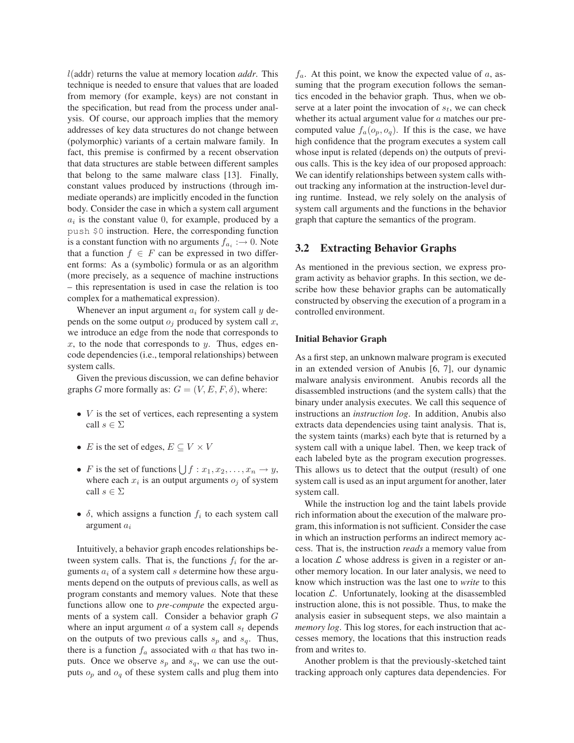l(addr) returns the value at memory location *addr*. This technique is needed to ensure that values that are loaded from memory (for example, keys) are not constant in the specification, but read from the process under analysis. Of course, our approach implies that the memory addresses of key data structures do not change between (polymorphic) variants of a certain malware family. In fact, this premise is confirmed by a recent observation that data structures are stable between different samples that belong to the same malware class [13]. Finally, constant values produced by instructions (through immediate operands) are implicitly encoded in the function body. Consider the case in which a system call argument  $a_i$  is the constant value 0, for example, produced by a push \$0 instruction. Here, the corresponding function is a constant function with no arguments  $f_{a_i} \rightarrow 0$ . Note that a function  $f \in F$  can be expressed in two different forms: As a (symbolic) formula or as an algorithm (more precisely, as a sequence of machine instructions – this representation is used in case the relation is too complex for a mathematical expression).

Whenever an input argument  $a_i$  for system call  $y$  depends on the some output  $o_i$  produced by system call x, we introduce an edge from the node that corresponds to x, to the node that corresponds to y. Thus, edges encode dependencies (i.e., temporal relationships) between system calls.

Given the previous discussion, we can define behavior graphs G more formally as:  $G = (V, E, F, \delta)$ , where:

- $\bullet$  *V* is the set of vertices, each representing a system call  $s \in \Sigma$
- *E* is the set of edges,  $E \subseteq V \times V$
- F is the set of functions  $\bigcup f : x_1, x_2, \ldots, x_n \to y$ , where each  $x_i$  is an output arguments  $o_j$  of system call  $s \in \Sigma$
- $\delta$ , which assigns a function  $f_i$  to each system call argument  $a_i$

Intuitively, a behavior graph encodes relationships between system calls. That is, the functions  $f_i$  for the arguments  $a_i$  of a system call s determine how these arguments depend on the outputs of previous calls, as well as program constants and memory values. Note that these functions allow one to *pre-compute* the expected arguments of a system call. Consider a behavior graph G where an input argument  $a$  of a system call  $s_t$  depends on the outputs of two previous calls  $s_p$  and  $s_q$ . Thus, there is a function  $f_a$  associated with a that has two inputs. Once we observe  $s_p$  and  $s_q$ , we can use the outputs  $o_p$  and  $o_q$  of these system calls and plug them into  $f_a$ . At this point, we know the expected value of a, assuming that the program execution follows the semantics encoded in the behavior graph. Thus, when we observe at a later point the invocation of  $s_t$ , we can check whether its actual argument value for  $a$  matches our precomputed value  $f_a(o_p, o_q)$ . If this is the case, we have high confidence that the program executes a system call whose input is related (depends on) the outputs of previous calls. This is the key idea of our proposed approach: We can identify relationships between system calls without tracking any information at the instruction-level during runtime. Instead, we rely solely on the analysis of system call arguments and the functions in the behavior graph that capture the semantics of the program.

### **3.2 Extracting Behavior Graphs**

As mentioned in the previous section, we express program activity as behavior graphs. In this section, we describe how these behavior graphs can be automatically constructed by observing the execution of a program in a controlled environment.

#### **Initial Behavior Graph**

As a first step, an unknown malware program is executed in an extended version of Anubis [6, 7], our dynamic malware analysis environment. Anubis records all the disassembled instructions (and the system calls) that the binary under analysis executes. We call this sequence of instructions an *instruction log*. In addition, Anubis also extracts data dependencies using taint analysis. That is, the system taints (marks) each byte that is returned by a system call with a unique label. Then, we keep track of each labeled byte as the program execution progresses. This allows us to detect that the output (result) of one system call is used as an input argument for another, later system call.

While the instruction log and the taint labels provide rich information about the execution of the malware program, this information is not sufficient. Consider the case in which an instruction performs an indirect memory access. That is, the instruction *reads* a memory value from a location  $\mathcal L$  whose address is given in a register or another memory location. In our later analysis, we need to know which instruction was the last one to *write* to this location  $\mathcal{L}$ . Unfortunately, looking at the disassembled instruction alone, this is not possible. Thus, to make the analysis easier in subsequent steps, we also maintain a *memory log*. This log stores, for each instruction that accesses memory, the locations that this instruction reads from and writes to.

Another problem is that the previously-sketched taint tracking approach only captures data dependencies. For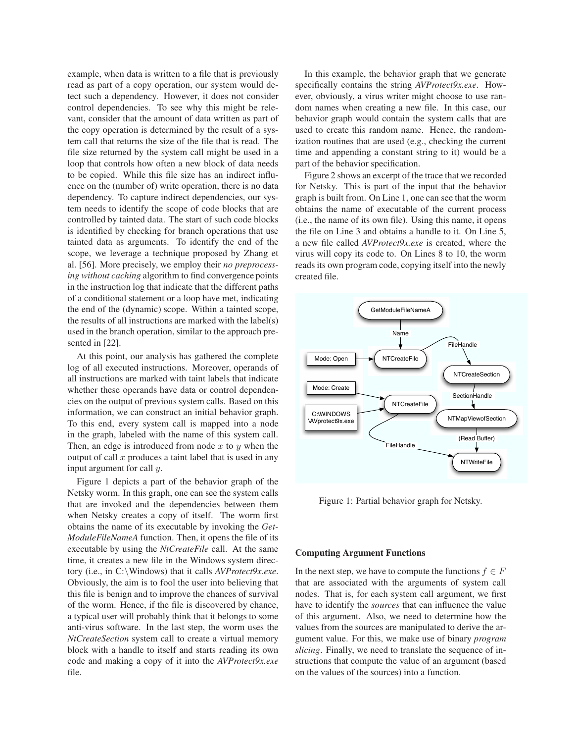example, when data is written to a file that is previously read as part of a copy operation, our system would detect such a dependency. However, it does not consider control dependencies. To see why this might be relevant, consider that the amount of data written as part of the copy operation is determined by the result of a system call that returns the size of the file that is read. The file size returned by the system call might be used in a loop that controls how often a new block of data needs to be copied. While this file size has an indirect influence on the (number of) write operation, there is no data dependency. To capture indirect dependencies, our system needs to identify the scope of code blocks that are controlled by tainted data. The start of such code blocks is identified by checking for branch operations that use tainted data as arguments. To identify the end of the scope, we leverage a technique proposed by Zhang et al. [56]. More precisely, we employ their *no preprocessing without caching* algorithm to find convergence points in the instruction log that indicate that the different paths of a conditional statement or a loop have met, indicating the end of the (dynamic) scope. Within a tainted scope, the results of all instructions are marked with the label(s) used in the branch operation, similar to the approach presented in [22].

At this point, our analysis has gathered the complete log of all executed instructions. Moreover, operands of all instructions are marked with taint labels that indicate whether these operands have data or control dependencies on the output of previous system calls. Based on this information, we can construct an initial behavior graph. To this end, every system call is mapped into a node in the graph, labeled with the name of this system call. Then, an edge is introduced from node  $x$  to  $y$  when the output of call  $x$  produces a taint label that is used in any input argument for call y.

Figure 1 depicts a part of the behavior graph of the Netsky worm. In this graph, one can see the system calls that are invoked and the dependencies between them when Netsky creates a copy of itself. The worm first obtains the name of its executable by invoking the *Get-ModuleFileNameA* function. Then, it opens the file of its executable by using the *NtCreateFile* call. At the same time, it creates a new file in the Windows system directory (i.e., in C:\Windows) that it calls *AVProtect9x.exe*. Obviously, the aim is to fool the user into believing that this file is benign and to improve the chances of survival of the worm. Hence, if the file is discovered by chance, a typical user will probably think that it belongs to some anti-virus software. In the last step, the worm uses the *NtCreateSection* system call to create a virtual memory block with a handle to itself and starts reading its own code and making a copy of it into the *AVProtect9x.exe* file.

In this example, the behavior graph that we generate specifically contains the string *AVProtect9x.exe*. However, obviously, a virus writer might choose to use random names when creating a new file. In this case, our behavior graph would contain the system calls that are used to create this random name. Hence, the randomization routines that are used (e.g., checking the current time and appending a constant string to it) would be a part of the behavior specification.

Figure 2 shows an excerpt of the trace that we recorded for Netsky. This is part of the input that the behavior graph is built from. On Line 1, one can see that the worm obtains the name of executable of the current process (i.e., the name of its own file). Using this name, it opens the file on Line 3 and obtains a handle to it. On Line 5, a new file called *AVProtect9x.exe* is created, where the virus will copy its code to. On Lines 8 to 10, the worm reads its own program code, copying itself into the newly created file.



Figure 1: Partial behavior graph for Netsky.

#### **Computing Argument Functions**

In the next step, we have to compute the functions  $f \in F$ that are associated with the arguments of system call nodes. That is, for each system call argument, we first have to identify the *sources* that can influence the value of this argument. Also, we need to determine how the values from the sources are manipulated to derive the argument value. For this, we make use of binary *program slicing*. Finally, we need to translate the sequence of instructions that compute the value of an argument (based on the values of the sources) into a function.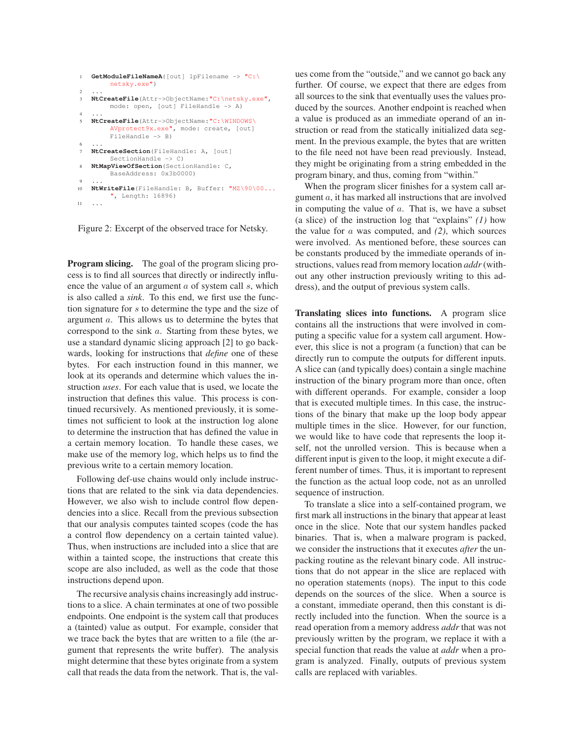```
1 GetModuleFileNameA([out] lpFilename -> "C:\
        netsky.exe")
2 ...
3 NtCreateFile(Attr->ObjectName:"C:\netsky.exe",
        mode: open, [out] FileHandle -> A)
4 ...
5 NtCreateFile(Attr->ObjectName:"C:\WINDOWS\
        AVprotect9x.exe", mode: create, [out]
        FileHandle -> B)
6 ...
7 NtCreateSection(FileHandle: A, [out]
        SectionHandle -> C)
8 NtMapViewOfSection(SectionHandle: C,
        BaseAddress: 0x3b0000)
9 ...
10 NtWriteFile(FileHandle: B, Buffer: "MZ\90\00...
         ", Length: 16896)
11
```
Figure 2: Excerpt of the observed trace for Netsky.

**Program slicing.** The goal of the program slicing process is to find all sources that directly or indirectly influence the value of an argument  $\alpha$  of system call  $\delta$ , which is also called a *sink*. To this end, we first use the function signature for s to determine the type and the size of argument a. This allows us to determine the bytes that correspond to the sink a. Starting from these bytes, we use a standard dynamic slicing approach [2] to go backwards, looking for instructions that *define* one of these bytes. For each instruction found in this manner, we look at its operands and determine which values the instruction *uses*. For each value that is used, we locate the instruction that defines this value. This process is continued recursively. As mentioned previously, it is sometimes not sufficient to look at the instruction log alone to determine the instruction that has defined the value in a certain memory location. To handle these cases, we make use of the memory log, which helps us to find the previous write to a certain memory location.

Following def-use chains would only include instructions that are related to the sink via data dependencies. However, we also wish to include control flow dependencies into a slice. Recall from the previous subsection that our analysis computes tainted scopes (code the has a control flow dependency on a certain tainted value). Thus, when instructions are included into a slice that are within a tainted scope, the instructions that create this scope are also included, as well as the code that those instructions depend upon.

The recursive analysis chains increasingly add instructions to a slice. A chain terminates at one of two possible endpoints. One endpoint is the system call that produces a (tainted) value as output. For example, consider that we trace back the bytes that are written to a file (the argument that represents the write buffer). The analysis might determine that these bytes originate from a system call that reads the data from the network. That is, the values come from the "outside," and we cannot go back any further. Of course, we expect that there are edges from all sources to the sink that eventually uses the values produced by the sources. Another endpoint is reached when a value is produced as an immediate operand of an instruction or read from the statically initialized data segment. In the previous example, the bytes that are written to the file need not have been read previously. Instead, they might be originating from a string embedded in the program binary, and thus, coming from "within."

When the program slicer finishes for a system call argument a, it has marked all instructions that are involved in computing the value of  $a$ . That is, we have a subset (a slice) of the instruction log that "explains" *(1)* how the value for a was computed, and *(2)*, which sources were involved. As mentioned before, these sources can be constants produced by the immediate operands of instructions, values read from memory location *addr*(without any other instruction previously writing to this address), and the output of previous system calls.

**Translating slices into functions.** A program slice contains all the instructions that were involved in computing a specific value for a system call argument. However, this slice is not a program (a function) that can be directly run to compute the outputs for different inputs. A slice can (and typically does) contain a single machine instruction of the binary program more than once, often with different operands. For example, consider a loop that is executed multiple times. In this case, the instructions of the binary that make up the loop body appear multiple times in the slice. However, for our function, we would like to have code that represents the loop itself, not the unrolled version. This is because when a different input is given to the loop, it might execute a different number of times. Thus, it is important to represent the function as the actual loop code, not as an unrolled sequence of instruction.

To translate a slice into a self-contained program, we first mark all instructions in the binary that appear at least once in the slice. Note that our system handles packed binaries. That is, when a malware program is packed, we consider the instructions that it executes *after* the unpacking routine as the relevant binary code. All instructions that do not appear in the slice are replaced with no operation statements (nops). The input to this code depends on the sources of the slice. When a source is a constant, immediate operand, then this constant is directly included into the function. When the source is a read operation from a memory address *addr* that was not previously written by the program, we replace it with a special function that reads the value at *addr* when a program is analyzed. Finally, outputs of previous system calls are replaced with variables.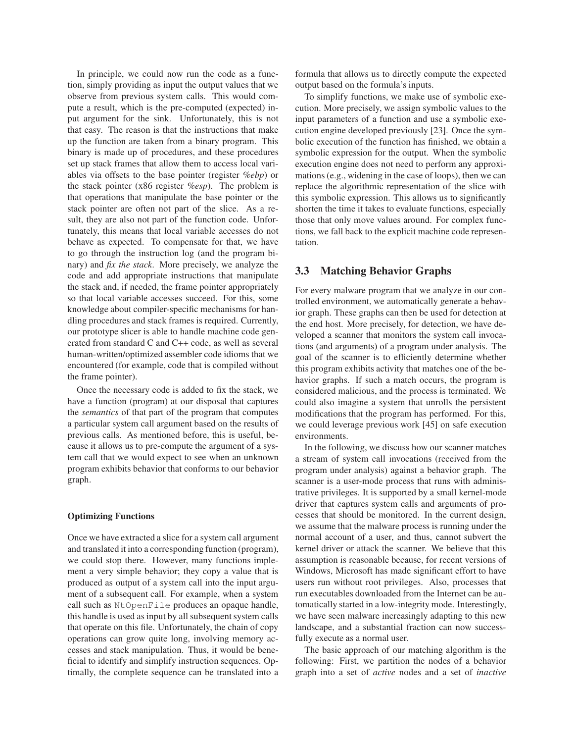In principle, we could now run the code as a function, simply providing as input the output values that we observe from previous system calls. This would compute a result, which is the pre-computed (expected) input argument for the sink. Unfortunately, this is not that easy. The reason is that the instructions that make up the function are taken from a binary program. This binary is made up of procedures, and these procedures set up stack frames that allow them to access local variables via offsets to the base pointer (register *%ebp*) or the stack pointer (x86 register *%esp*). The problem is that operations that manipulate the base pointer or the stack pointer are often not part of the slice. As a result, they are also not part of the function code. Unfortunately, this means that local variable accesses do not behave as expected. To compensate for that, we have to go through the instruction log (and the program binary) and *fix the stack*. More precisely, we analyze the code and add appropriate instructions that manipulate the stack and, if needed, the frame pointer appropriately so that local variable accesses succeed. For this, some knowledge about compiler-specific mechanisms for handling procedures and stack frames is required. Currently, our prototype slicer is able to handle machine code generated from standard C and C++ code, as well as several human-written/optimized assembler code idioms that we encountered (for example, code that is compiled without the frame pointer).

Once the necessary code is added to fix the stack, we have a function (program) at our disposal that captures the *semantics* of that part of the program that computes a particular system call argument based on the results of previous calls. As mentioned before, this is useful, because it allows us to pre-compute the argument of a system call that we would expect to see when an unknown program exhibits behavior that conforms to our behavior graph.

#### **Optimizing Functions**

Once we have extracted a slice for a system call argument and translated it into a corresponding function (program), we could stop there. However, many functions implement a very simple behavior; they copy a value that is produced as output of a system call into the input argument of a subsequent call. For example, when a system call such as NtOpenFile produces an opaque handle, this handle is used as input by all subsequent system calls that operate on this file. Unfortunately, the chain of copy operations can grow quite long, involving memory accesses and stack manipulation. Thus, it would be beneficial to identify and simplify instruction sequences. Optimally, the complete sequence can be translated into a formula that allows us to directly compute the expected output based on the formula's inputs.

To simplify functions, we make use of symbolic execution. More precisely, we assign symbolic values to the input parameters of a function and use a symbolic execution engine developed previously [23]. Once the symbolic execution of the function has finished, we obtain a symbolic expression for the output. When the symbolic execution engine does not need to perform any approximations (e.g., widening in the case of loops), then we can replace the algorithmic representation of the slice with this symbolic expression. This allows us to significantly shorten the time it takes to evaluate functions, especially those that only move values around. For complex functions, we fall back to the explicit machine code representation.

### **3.3 Matching Behavior Graphs**

For every malware program that we analyze in our controlled environment, we automatically generate a behavior graph. These graphs can then be used for detection at the end host. More precisely, for detection, we have developed a scanner that monitors the system call invocations (and arguments) of a program under analysis. The goal of the scanner is to efficiently determine whether this program exhibits activity that matches one of the behavior graphs. If such a match occurs, the program is considered malicious, and the process is terminated. We could also imagine a system that unrolls the persistent modifications that the program has performed. For this, we could leverage previous work [45] on safe execution environments.

In the following, we discuss how our scanner matches a stream of system call invocations (received from the program under analysis) against a behavior graph. The scanner is a user-mode process that runs with administrative privileges. It is supported by a small kernel-mode driver that captures system calls and arguments of processes that should be monitored. In the current design, we assume that the malware process is running under the normal account of a user, and thus, cannot subvert the kernel driver or attack the scanner. We believe that this assumption is reasonable because, for recent versions of Windows, Microsoft has made significant effort to have users run without root privileges. Also, processes that run executables downloaded from the Internet can be automatically started in a low-integrity mode. Interestingly, we have seen malware increasingly adapting to this new landscape, and a substantial fraction can now successfully execute as a normal user.

The basic approach of our matching algorithm is the following: First, we partition the nodes of a behavior graph into a set of *active* nodes and a set of *inactive*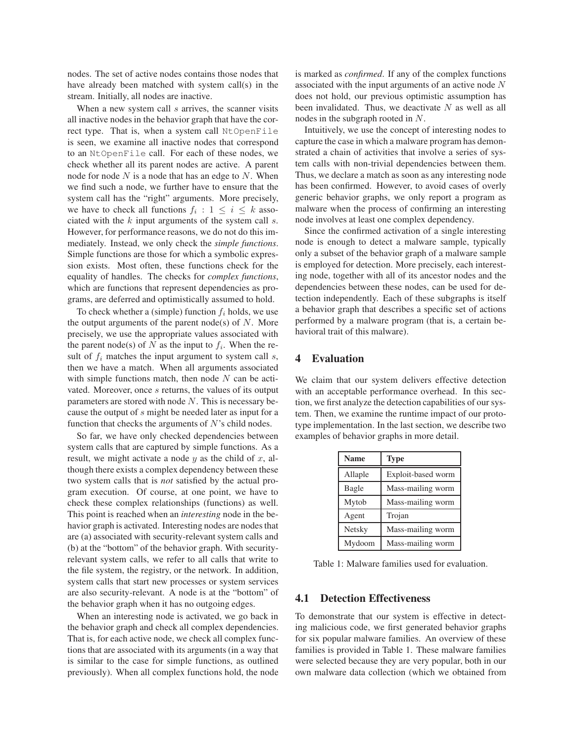nodes. The set of active nodes contains those nodes that have already been matched with system call(s) in the stream. Initially, all nodes are inactive.

When a new system call  $s$  arrives, the scanner visits all inactive nodes in the behavior graph that have the correct type. That is, when a system call NtOpenFile is seen, we examine all inactive nodes that correspond to an NtOpenFile call. For each of these nodes, we check whether all its parent nodes are active. A parent node for node  $N$  is a node that has an edge to  $N$ . When we find such a node, we further have to ensure that the system call has the "right" arguments. More precisely, we have to check all functions  $f_i : 1 \leq i \leq k$  associated with the  $k$  input arguments of the system call  $s$ . However, for performance reasons, we do not do this immediately. Instead, we only check the *simple functions*. Simple functions are those for which a symbolic expression exists. Most often, these functions check for the equality of handles. The checks for *complex functions*, which are functions that represent dependencies as programs, are deferred and optimistically assumed to hold.

To check whether a (simple) function  $f_i$  holds, we use the output arguments of the parent node(s) of  $N$ . More precisely, we use the appropriate values associated with the parent node(s) of N as the input to  $f_i$ . When the result of  $f_i$  matches the input argument to system call  $s$ , then we have a match. When all arguments associated with simple functions match, then node  $N$  can be activated. Moreover, once s returns, the values of its output parameters are stored with node  $N$ . This is necessary because the output of s might be needed later as input for a function that checks the arguments of  $N$ 's child nodes.

So far, we have only checked dependencies between system calls that are captured by simple functions. As a result, we might activate a node  $y$  as the child of  $x$ , although there exists a complex dependency between these two system calls that is *not* satisfied by the actual program execution. Of course, at one point, we have to check these complex relationships (functions) as well. This point is reached when an *interesting* node in the behavior graph is activated. Interesting nodes are nodes that are (a) associated with security-relevant system calls and (b) at the "bottom" of the behavior graph. With securityrelevant system calls, we refer to all calls that write to the file system, the registry, or the network. In addition, system calls that start new processes or system services are also security-relevant. A node is at the "bottom" of the behavior graph when it has no outgoing edges.

When an interesting node is activated, we go back in the behavior graph and check all complex dependencies. That is, for each active node, we check all complex functions that are associated with its arguments (in a way that is similar to the case for simple functions, as outlined previously). When all complex functions hold, the node is marked as *confirmed*. If any of the complex functions associated with the input arguments of an active node N does not hold, our previous optimistic assumption has been invalidated. Thus, we deactivate  $N$  as well as all nodes in the subgraph rooted in N.

Intuitively, we use the concept of interesting nodes to capture the case in which a malware program has demonstrated a chain of activities that involve a series of system calls with non-trivial dependencies between them. Thus, we declare a match as soon as any interesting node has been confirmed. However, to avoid cases of overly generic behavior graphs, we only report a program as malware when the process of confirming an interesting node involves at least one complex dependency.

Since the confirmed activation of a single interesting node is enough to detect a malware sample, typically only a subset of the behavior graph of a malware sample is employed for detection. More precisely, each interesting node, together with all of its ancestor nodes and the dependencies between these nodes, can be used for detection independently. Each of these subgraphs is itself a behavior graph that describes a specific set of actions performed by a malware program (that is, a certain behavioral trait of this malware).

#### **4 Evaluation**

We claim that our system delivers effective detection with an acceptable performance overhead. In this section, we first analyze the detection capabilities of our system. Then, we examine the runtime impact of our prototype implementation. In the last section, we describe two examples of behavior graphs in more detail.

| <b>Name</b> | <b>Type</b>        |
|-------------|--------------------|
| Allaple     | Exploit-based worm |
| Bagle       | Mass-mailing worm  |
| Mytob       | Mass-mailing worm  |
| Agent       | Trojan             |
| Netsky      | Mass-mailing worm  |
| Mydoom      | Mass-mailing worm  |

Table 1: Malware families used for evaluation.

## **4.1 Detection Effectiveness**

To demonstrate that our system is effective in detecting malicious code, we first generated behavior graphs for six popular malware families. An overview of these families is provided in Table 1. These malware families were selected because they are very popular, both in our own malware data collection (which we obtained from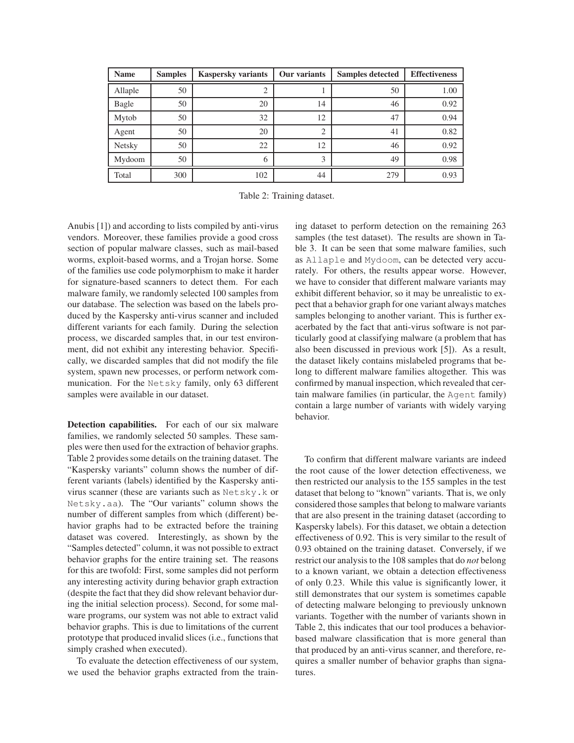| <b>Name</b>   | <b>Samples</b> | <b>Kaspersky variants</b> | Our variants   | <b>Samples detected</b> | <b>Effectiveness</b> |
|---------------|----------------|---------------------------|----------------|-------------------------|----------------------|
| Allaple       | 50             | ◠                         |                | 50                      | 1.00                 |
| Bagle         | 50             | 20                        | 14             | 46                      | 0.92                 |
| Mytob         | 50             | 32                        | 12             | 47                      | 0.94                 |
| Agent         | 50             | 20                        | $\overline{c}$ | 41                      | 0.82                 |
| <b>Netsky</b> | 50             | 22                        | 12             | 46                      | 0.92                 |
| Mydoom        | 50             | 6                         | 3              | 49                      | 0.98                 |
| Total         | 300            | 102                       | 44             | 279                     | 0.93                 |

Table 2: Training dataset.

Anubis [1]) and according to lists compiled by anti-virus vendors. Moreover, these families provide a good cross section of popular malware classes, such as mail-based worms, exploit-based worms, and a Trojan horse. Some of the families use code polymorphism to make it harder for signature-based scanners to detect them. For each malware family, we randomly selected 100 samples from our database. The selection was based on the labels produced by the Kaspersky anti-virus scanner and included different variants for each family. During the selection process, we discarded samples that, in our test environment, did not exhibit any interesting behavior. Specifically, we discarded samples that did not modify the file system, spawn new processes, or perform network communication. For the Netsky family, only 63 different samples were available in our dataset.

**Detection capabilities.** For each of our six malware families, we randomly selected 50 samples. These samples were then used for the extraction of behavior graphs. Table 2 provides some details on the training dataset. The "Kaspersky variants" column shows the number of different variants (labels) identified by the Kaspersky antivirus scanner (these are variants such as Netsky.k or Netsky.aa). The "Our variants" column shows the number of different samples from which (different) behavior graphs had to be extracted before the training dataset was covered. Interestingly, as shown by the "Samples detected" column, it was not possible to extract behavior graphs for the entire training set. The reasons for this are twofold: First, some samples did not perform any interesting activity during behavior graph extraction (despite the fact that they did show relevant behavior during the initial selection process). Second, for some malware programs, our system was not able to extract valid behavior graphs. This is due to limitations of the current prototype that produced invalid slices (i.e., functions that simply crashed when executed).

To evaluate the detection effectiveness of our system, we used the behavior graphs extracted from the training dataset to perform detection on the remaining 263 samples (the test dataset). The results are shown in Table 3. It can be seen that some malware families, such as Allaple and Mydoom, can be detected very accurately. For others, the results appear worse. However, we have to consider that different malware variants may exhibit different behavior, so it may be unrealistic to expect that a behavior graph for one variant always matches samples belonging to another variant. This is further exacerbated by the fact that anti-virus software is not particularly good at classifying malware (a problem that has also been discussed in previous work [5]). As a result, the dataset likely contains mislabeled programs that belong to different malware families altogether. This was confirmed by manual inspection, which revealed that certain malware families (in particular, the Agent family) contain a large number of variants with widely varying behavior.

To confirm that different malware variants are indeed the root cause of the lower detection effectiveness, we then restricted our analysis to the 155 samples in the test dataset that belong to "known" variants. That is, we only considered those samples that belong to malware variants that are also present in the training dataset (according to Kaspersky labels). For this dataset, we obtain a detection effectiveness of 0.92. This is very similar to the result of 0.93 obtained on the training dataset. Conversely, if we restrict our analysis to the 108 samples that do *not* belong to a known variant, we obtain a detection effectiveness of only 0.23. While this value is significantly lower, it still demonstrates that our system is sometimes capable of detecting malware belonging to previously unknown variants. Together with the number of variants shown in Table 2, this indicates that our tool produces a behaviorbased malware classification that is more general than that produced by an anti-virus scanner, and therefore, requires a smaller number of behavior graphs than signatures.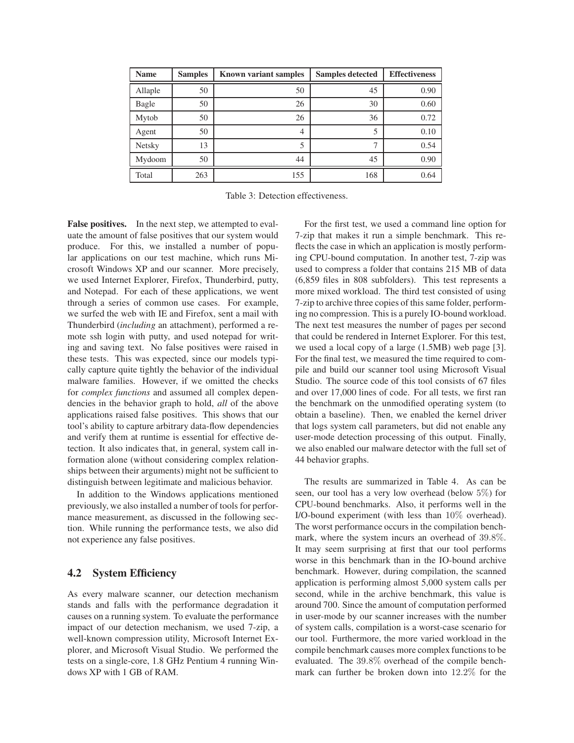| <b>Name</b>   | <b>Samples</b> | <b>Known variant samples</b> | <b>Samples detected</b> | <b>Effectiveness</b> |
|---------------|----------------|------------------------------|-------------------------|----------------------|
| Allaple       | 50             | 50                           | 45                      | 0.90                 |
| Bagle         | 50             | 26                           | 30                      | 0.60                 |
| Mytob         | 50             | 26                           | 36                      | 0.72                 |
| Agent         | 50             | 4                            | 5                       | 0.10                 |
| <b>Netsky</b> | 13             | 5                            |                         | 0.54                 |
| Mydoom        | 50             | 44                           | 45                      | 0.90                 |
| Total         | 263            | 155                          | 168                     | 0.64                 |

Table 3: Detection effectiveness.

**False positives.** In the next step, we attempted to evaluate the amount of false positives that our system would produce. For this, we installed a number of popular applications on our test machine, which runs Microsoft Windows XP and our scanner. More precisely, we used Internet Explorer, Firefox, Thunderbird, putty, and Notepad. For each of these applications, we went through a series of common use cases. For example, we surfed the web with IE and Firefox, sent a mail with Thunderbird (*including* an attachment), performed a remote ssh login with putty, and used notepad for writing and saving text. No false positives were raised in these tests. This was expected, since our models typically capture quite tightly the behavior of the individual malware families. However, if we omitted the checks for *complex functions* and assumed all complex dependencies in the behavior graph to hold, *all* of the above applications raised false positives. This shows that our tool's ability to capture arbitrary data-flow dependencies and verify them at runtime is essential for effective detection. It also indicates that, in general, system call information alone (without considering complex relationships between their arguments) might not be sufficient to distinguish between legitimate and malicious behavior.

In addition to the Windows applications mentioned previously, we also installed a number of tools for performance measurement, as discussed in the following section. While running the performance tests, we also did not experience any false positives.

### **4.2 System Efficiency**

As every malware scanner, our detection mechanism stands and falls with the performance degradation it causes on a running system. To evaluate the performance impact of our detection mechanism, we used 7-zip, a well-known compression utility, Microsoft Internet Explorer, and Microsoft Visual Studio. We performed the tests on a single-core, 1.8 GHz Pentium 4 running Windows XP with 1 GB of RAM.

For the first test, we used a command line option for 7-zip that makes it run a simple benchmark. This reflects the case in which an application is mostly performing CPU-bound computation. In another test, 7-zip was used to compress a folder that contains 215 MB of data (6,859 files in 808 subfolders). This test represents a more mixed workload. The third test consisted of using 7-zip to archive three copies of this same folder, performing no compression. This is a purely IO-bound workload. The next test measures the number of pages per second that could be rendered in Internet Explorer. For this test, we used a local copy of a large (1.5MB) web page [3]. For the final test, we measured the time required to compile and build our scanner tool using Microsoft Visual Studio. The source code of this tool consists of 67 files and over 17,000 lines of code. For all tests, we first ran the benchmark on the unmodified operating system (to obtain a baseline). Then, we enabled the kernel driver that logs system call parameters, but did not enable any user-mode detection processing of this output. Finally, we also enabled our malware detector with the full set of 44 behavior graphs.

The results are summarized in Table 4. As can be seen, our tool has a very low overhead (below 5%) for CPU-bound benchmarks. Also, it performs well in the I/O-bound experiment (with less than 10% overhead). The worst performance occurs in the compilation benchmark, where the system incurs an overhead of 39.8%. It may seem surprising at first that our tool performs worse in this benchmark than in the IO-bound archive benchmark. However, during compilation, the scanned application is performing almost 5,000 system calls per second, while in the archive benchmark, this value is around 700. Since the amount of computation performed in user-mode by our scanner increases with the number of system calls, compilation is a worst-case scenario for our tool. Furthermore, the more varied workload in the compile benchmark causes more complex functions to be evaluated. The 39.8% overhead of the compile benchmark can further be broken down into 12.2% for the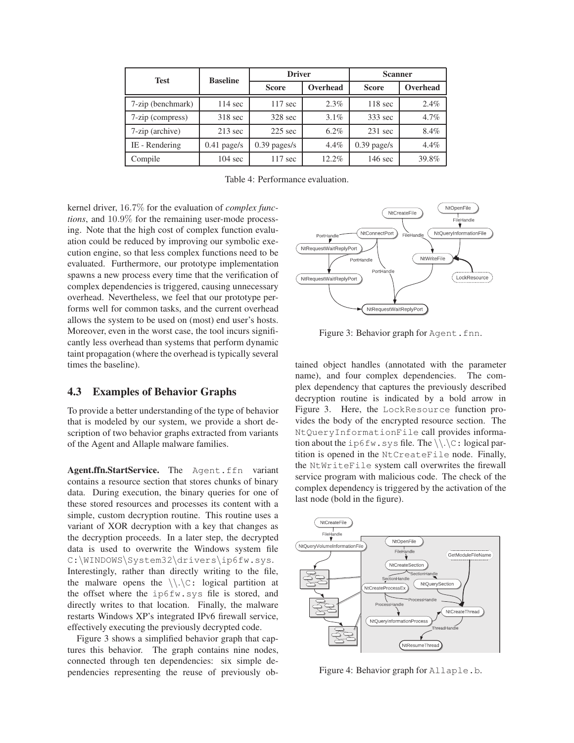| <b>Test</b>       | <b>Baseline</b>   | <b>Driver</b>     |          | <b>Scanner</b>    |          |
|-------------------|-------------------|-------------------|----------|-------------------|----------|
|                   |                   | <b>Score</b>      | Overhead | <b>Score</b>      | Overhead |
| 7-zip (benchmark) | $114 \text{ sec}$ | $117 \text{ sec}$ | 2.3%     | $118 \text{ sec}$ | 2.4%     |
| 7-zip (compress)  | $318 \text{ sec}$ | 328 sec           | 3.1%     | 333 sec           | 4.7%     |
| 7-zip (archive)   | $213 \text{ sec}$ | $225$ sec         | $6.2\%$  | $231$ sec         | 8.4%     |
| IE - Rendering    | $0.41$ page/s     | $0.39$ pages/s    | 4.4%     | $0.39$ page/s     | 4.4%     |
| Compile           | $104 \text{ sec}$ | $117 \text{ sec}$ | 12.2%    | $146 \text{ sec}$ | 39.8%    |

Table 4: Performance evaluation.

kernel driver, 16.7% for the evaluation of *complex functions*, and 10.9% for the remaining user-mode processing. Note that the high cost of complex function evaluation could be reduced by improving our symbolic execution engine, so that less complex functions need to be evaluated. Furthermore, our prototype implementation spawns a new process every time that the verification of complex dependencies is triggered, causing unnecessary overhead. Nevertheless, we feel that our prototype performs well for common tasks, and the current overhead allows the system to be used on (most) end user's hosts. Moreover, even in the worst case, the tool incurs significantly less overhead than systems that perform dynamic taint propagation (where the overhead is typically several times the baseline).

## **4.3 Examples of Behavior Graphs**

To provide a better understanding of the type of behavior that is modeled by our system, we provide a short description of two behavior graphs extracted from variants of the Agent and Allaple malware families.

**Agent.ffn.StartService.** The Agent.ffn variant contains a resource section that stores chunks of binary data. During execution, the binary queries for one of these stored resources and processes its content with a simple, custom decryption routine. This routine uses a variant of XOR decryption with a key that changes as the decryption proceeds. In a later step, the decrypted data is used to overwrite the Windows system file C:\WINDOWS\System32\drivers\ip6fw.sys. Interestingly, rather than directly writing to the file, the malware opens the  $\setminus \setminus C$ : logical partition at the offset where the ip6fw.sys file is stored, and directly writes to that location. Finally, the malware restarts Windows XP's integrated IPv6 firewall service, effectively executing the previously decrypted code.

Figure 3 shows a simplified behavior graph that captures this behavior. The graph contains nine nodes, connected through ten dependencies: six simple dependencies representing the reuse of previously ob-



Figure 3: Behavior graph for Agent.fnn.

tained object handles (annotated with the parameter name), and four complex dependencies. The complex dependency that captures the previously described decryption routine is indicated by a bold arrow in Figure 3. Here, the LockResource function provides the body of the encrypted resource section. The NtQueryInformationFile call provides information about the ip6fw.sys file. The  $\setminus \setminus \setminus \subset$ : logical partition is opened in the NtCreateFile node. Finally, the NtWriteFile system call overwrites the firewall service program with malicious code. The check of the complex dependency is triggered by the activation of the last node (bold in the figure).



Figure 4: Behavior graph for Allaple.b.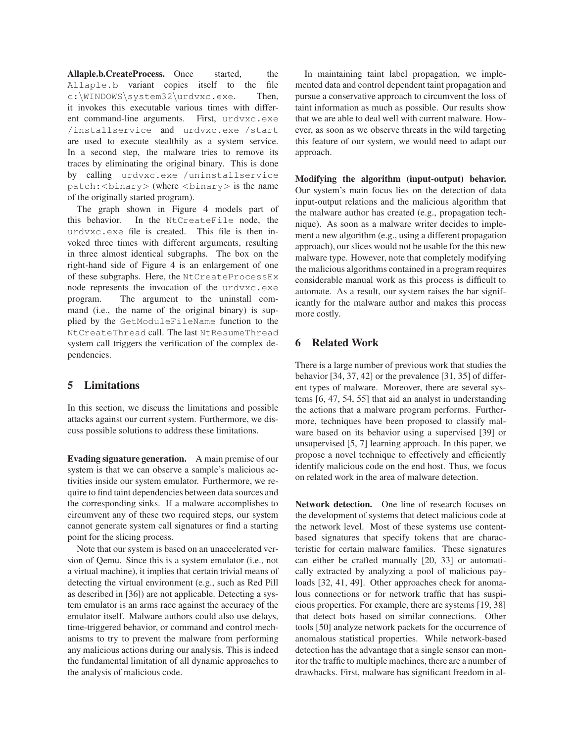Allaple.b.CreateProcess. Once started, the Allaple.b variant copies itself to the file c:\WINDOWS\system32\urdvxc.exe. Then, it invokes this executable various times with different command-line arguments. First, urdvxc.exe /installservice and urdvxc.exe /start are used to execute stealthily as a system service. In a second step, the malware tries to remove its traces by eliminating the original binary. This is done by calling urdvxc.exe /uninstallservice patch:<br/>>binary> (where <br/>binary> is the name of the originally started program).

The graph shown in Figure 4 models part of this behavior. In the NtCreateFile node, the urdvxc.exe file is created. This file is then invoked three times with different arguments, resulting in three almost identical subgraphs. The box on the right-hand side of Figure 4 is an enlargement of one of these subgraphs. Here, the NtCreateProcessEx node represents the invocation of the urdvxc.exe program. The argument to the uninstall command (i.e., the name of the original binary) is supplied by the GetModuleFileName function to the NtCreateThread call. The last NtResumeThread system call triggers the verification of the complex dependencies.

## **5 Limitations**

In this section, we discuss the limitations and possible attacks against our current system. Furthermore, we discuss possible solutions to address these limitations.

**Evading signature generation.** A main premise of our system is that we can observe a sample's malicious activities inside our system emulator. Furthermore, we require to find taint dependencies between data sources and the corresponding sinks. If a malware accomplishes to circumvent any of these two required steps, our system cannot generate system call signatures or find a starting point for the slicing process.

Note that our system is based on an unaccelerated version of Qemu. Since this is a system emulator (i.e., not a virtual machine), it implies that certain trivial means of detecting the virtual environment (e.g., such as Red Pill as described in [36]) are not applicable. Detecting a system emulator is an arms race against the accuracy of the emulator itself. Malware authors could also use delays, time-triggered behavior, or command and control mechanisms to try to prevent the malware from performing any malicious actions during our analysis. This is indeed the fundamental limitation of all dynamic approaches to the analysis of malicious code.

In maintaining taint label propagation, we implemented data and control dependent taint propagation and pursue a conservative approach to circumvent the loss of taint information as much as possible. Our results show that we are able to deal well with current malware. However, as soon as we observe threats in the wild targeting this feature of our system, we would need to adapt our approach.

**Modifying the algorithm (input-output) behavior.** Our system's main focus lies on the detection of data input-output relations and the malicious algorithm that the malware author has created (e.g., propagation technique). As soon as a malware writer decides to implement a new algorithm (e.g., using a different propagation approach), our slices would not be usable for the this new malware type. However, note that completely modifying the malicious algorithms contained in a program requires considerable manual work as this process is difficult to automate. As a result, our system raises the bar significantly for the malware author and makes this process more costly.

## **6 Related Work**

There is a large number of previous work that studies the behavior [34, 37, 42] or the prevalence [31, 35] of different types of malware. Moreover, there are several systems [6, 47, 54, 55] that aid an analyst in understanding the actions that a malware program performs. Furthermore, techniques have been proposed to classify malware based on its behavior using a supervised [39] or unsupervised [5, 7] learning approach. In this paper, we propose a novel technique to effectively and efficiently identify malicious code on the end host. Thus, we focus on related work in the area of malware detection.

**Network detection.** One line of research focuses on the development of systems that detect malicious code at the network level. Most of these systems use contentbased signatures that specify tokens that are characteristic for certain malware families. These signatures can either be crafted manually [20, 33] or automatically extracted by analyzing a pool of malicious payloads [32, 41, 49]. Other approaches check for anomalous connections or for network traffic that has suspicious properties. For example, there are systems [19, 38] that detect bots based on similar connections. Other tools [50] analyze network packets for the occurrence of anomalous statistical properties. While network-based detection has the advantage that a single sensor can monitor the traffic to multiple machines, there are a number of drawbacks. First, malware has significant freedom in al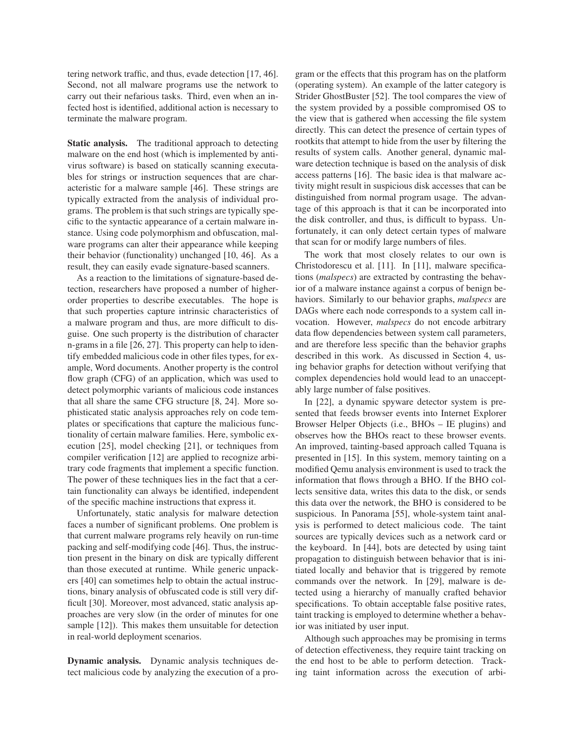tering network traffic, and thus, evade detection [17, 46]. Second, not all malware programs use the network to carry out their nefarious tasks. Third, even when an infected host is identified, additional action is necessary to terminate the malware program.

**Static analysis.** The traditional approach to detecting malware on the end host (which is implemented by antivirus software) is based on statically scanning executables for strings or instruction sequences that are characteristic for a malware sample [46]. These strings are typically extracted from the analysis of individual programs. The problem is that such strings are typically specific to the syntactic appearance of a certain malware instance. Using code polymorphism and obfuscation, malware programs can alter their appearance while keeping their behavior (functionality) unchanged [10, 46]. As a result, they can easily evade signature-based scanners.

As a reaction to the limitations of signature-based detection, researchers have proposed a number of higherorder properties to describe executables. The hope is that such properties capture intrinsic characteristics of a malware program and thus, are more difficult to disguise. One such property is the distribution of character n-grams in a file [26, 27]. This property can help to identify embedded malicious code in other files types, for example, Word documents. Another property is the control flow graph (CFG) of an application, which was used to detect polymorphic variants of malicious code instances that all share the same CFG structure [8, 24]. More sophisticated static analysis approaches rely on code templates or specifications that capture the malicious functionality of certain malware families. Here, symbolic execution [25], model checking [21], or techniques from compiler verification [12] are applied to recognize arbitrary code fragments that implement a specific function. The power of these techniques lies in the fact that a certain functionality can always be identified, independent of the specific machine instructions that express it.

Unfortunately, static analysis for malware detection faces a number of significant problems. One problem is that current malware programs rely heavily on run-time packing and self-modifying code [46]. Thus, the instruction present in the binary on disk are typically different than those executed at runtime. While generic unpackers [40] can sometimes help to obtain the actual instructions, binary analysis of obfuscated code is still very difficult [30]. Moreover, most advanced, static analysis approaches are very slow (in the order of minutes for one sample [12]). This makes them unsuitable for detection in real-world deployment scenarios.

**Dynamic analysis.** Dynamic analysis techniques detect malicious code by analyzing the execution of a program or the effects that this program has on the platform (operating system). An example of the latter category is Strider GhostBuster [52]. The tool compares the view of the system provided by a possible compromised OS to the view that is gathered when accessing the file system directly. This can detect the presence of certain types of rootkits that attempt to hide from the user by filtering the results of system calls. Another general, dynamic malware detection technique is based on the analysis of disk access patterns [16]. The basic idea is that malware activity might result in suspicious disk accesses that can be distinguished from normal program usage. The advantage of this approach is that it can be incorporated into the disk controller, and thus, is difficult to bypass. Unfortunately, it can only detect certain types of malware that scan for or modify large numbers of files.

The work that most closely relates to our own is Christodorescu et al. [11]. In [11], malware specifications (*malspecs*) are extracted by contrasting the behavior of a malware instance against a corpus of benign behaviors. Similarly to our behavior graphs, *malspecs* are DAGs where each node corresponds to a system call invocation. However, *malspecs* do not encode arbitrary data flow dependencies between system call parameters, and are therefore less specific than the behavior graphs described in this work. As discussed in Section 4, using behavior graphs for detection without verifying that complex dependencies hold would lead to an unacceptably large number of false positives.

In [22], a dynamic spyware detector system is presented that feeds browser events into Internet Explorer Browser Helper Objects (i.e., BHOs – IE plugins) and observes how the BHOs react to these browser events. An improved, tainting-based approach called Tquana is presented in [15]. In this system, memory tainting on a modified Qemu analysis environment is used to track the information that flows through a BHO. If the BHO collects sensitive data, writes this data to the disk, or sends this data over the network, the BHO is considered to be suspicious. In Panorama [55], whole-system taint analysis is performed to detect malicious code. The taint sources are typically devices such as a network card or the keyboard. In [44], bots are detected by using taint propagation to distinguish between behavior that is initiated locally and behavior that is triggered by remote commands over the network. In [29], malware is detected using a hierarchy of manually crafted behavior specifications. To obtain acceptable false positive rates, taint tracking is employed to determine whether a behavior was initiated by user input.

Although such approaches may be promising in terms of detection effectiveness, they require taint tracking on the end host to be able to perform detection. Tracking taint information across the execution of arbi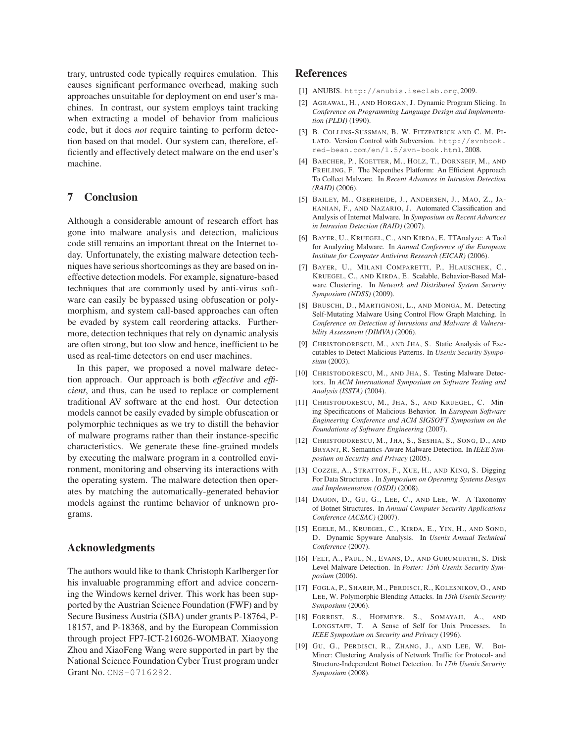trary, untrusted code typically requires emulation. This causes significant performance overhead, making such approaches unsuitable for deployment on end user's machines. In contrast, our system employs taint tracking when extracting a model of behavior from malicious code, but it does *not* require tainting to perform detection based on that model. Our system can, therefore, efficiently and effectively detect malware on the end user's machine.

### **7 Conclusion**

Although a considerable amount of research effort has gone into malware analysis and detection, malicious code still remains an important threat on the Internet today. Unfortunately, the existing malware detection techniques have serious shortcomings as they are based on ineffective detection models. For example, signature-based techniques that are commonly used by anti-virus software can easily be bypassed using obfuscation or polymorphism, and system call-based approaches can often be evaded by system call reordering attacks. Furthermore, detection techniques that rely on dynamic analysis are often strong, but too slow and hence, inefficient to be used as real-time detectors on end user machines.

In this paper, we proposed a novel malware detection approach. Our approach is both *effective* and *efficient*, and thus, can be used to replace or complement traditional AV software at the end host. Our detection models cannot be easily evaded by simple obfuscation or polymorphic techniques as we try to distill the behavior of malware programs rather than their instance-specific characteristics. We generate these fine-grained models by executing the malware program in a controlled environment, monitoring and observing its interactions with the operating system. The malware detection then operates by matching the automatically-generated behavior models against the runtime behavior of unknown programs.

#### **Acknowledgments**

The authors would like to thank Christoph Karlberger for his invaluable programming effort and advice concerning the Windows kernel driver. This work has been supported by the Austrian Science Foundation (FWF) and by Secure Business Austria (SBA) under grants P-18764, P-18157, and P-18368, and by the European Commission through project FP7-ICT-216026-WOMBAT. Xiaoyong Zhou and XiaoFeng Wang were supported in part by the National Science Foundation Cyber Trust program under Grant No. CNS-0716292.

### **References**

- [1] ANUBIS. http://anubis.iseclab.org, 2009.
- [2] AGRAWAL, H., AND HORGAN, J. Dynamic Program Slicing. In *Conference on Programming Language Design and Implementation (PLDI)* (1990).
- [3] B. COLLINS-SUSSMAN, B. W. FITZPATRICK AND C. M. PI-LATO. Version Control with Subversion. http://svnbook. red-bean.com/en/1.5/svn-book.html, 2008.
- [4] BAECHER, P., KOETTER, M., HOLZ, T., DORNSEIF, M., AND FREILING, F. The Nepenthes Platform: An Efficient Approach To Collect Malware. In *Recent Advances in Intrusion Detection (RAID)* (2006).
- [5] BAILEY, M., OBERHEIDE, J., ANDERSEN, J., MAO, Z., JA-HANIAN, F., AND NAZARIO, J. Automated Classification and Analysis of Internet Malware. In *Symposium on Recent Advances in Intrusion Detection (RAID)* (2007).
- [6] BAYER, U., KRUEGEL, C., AND KIRDA, E. TTAnalyze: A Tool for Analyzing Malware. In *Annual Conference of the European Institute for Computer Antivirus Research (EICAR)* (2006).
- [7] BAYER, U., MILANI COMPARETTI, P., HLAUSCHEK, C., KRUEGEL, C., AND KIRDA, E. Scalable, Behavior-Based Malware Clustering. In *Network and Distributed System Security Symposium (NDSS)* (2009).
- [8] BRUSCHI, D., MARTIGNONI, L., AND MONGA, M. Detecting Self-Mutating Malware Using Control Flow Graph Matching. In *Conference on Detection of Intrusions and Malware & Vulnerability Assessment (DIMVA)* (2006).
- [9] CHRISTODORESCU, M., AND JHA, S. Static Analysis of Executables to Detect Malicious Patterns. In *Usenix Security Symposium* (2003).
- [10] CHRISTODORESCU, M., AND JHA, S. Testing Malware Detectors. In *ACM International Symposium on Software Testing and Analysis (ISSTA)* (2004).
- [11] CHRISTODORESCU, M., JHA, S., AND KRUEGEL, C. Mining Specifications of Malicious Behavior. In *European Software Engineering Conference and ACM SIGSOFT Symposium on the Foundations of Software Engineering* (2007).
- [12] CHRISTODORESCU, M., JHA, S., SESHIA, S., SONG, D., AND BRYANT, R. Semantics-Aware Malware Detection. In *IEEE Symposium on Security and Privacy* (2005).
- [13] COZZIE, A., STRATTON, F., XUE, H., AND KING, S. Digging For Data Structures . In *Symposium on Operating Systems Design and Implementation (OSDI)* (2008).
- [14] DAGON, D., GU, G., LEE, C., AND LEE, W. A Taxonomy of Botnet Structures. In *Annual Computer Security Applications Conference (ACSAC)* (2007).
- [15] EGELE, M., KRUEGEL, C., KIRDA, E., YIN, H., AND SONG, D. Dynamic Spyware Analysis. In *Usenix Annual Technical Conference* (2007).
- [16] FELT, A., PAUL, N., EVANS, D., AND GURUMURTHI, S. Disk Level Malware Detection. In *Poster: 15th Usenix Security Symposium* (2006).
- [17] FOGLA, P., SHARIF, M., PERDISCI, R., KOLESNIKOV, O., AND LEE, W. Polymorphic Blending Attacks. In *15th Usenix Security Symposium* (2006).
- [18] FORREST, S., HOFMEYR, S., SOMAYAJI, A., AND LONGSTAFF, T. A Sense of Self for Unix Processes. In *IEEE Symposium on Security and Privacy* (1996).
- [19] GU, G., PERDISCI, R., ZHANG, J., AND LEE, W. Bot-Miner: Clustering Analysis of Network Traffic for Protocol- and Structure-Independent Botnet Detection. In *17th Usenix Security Symposium* (2008).